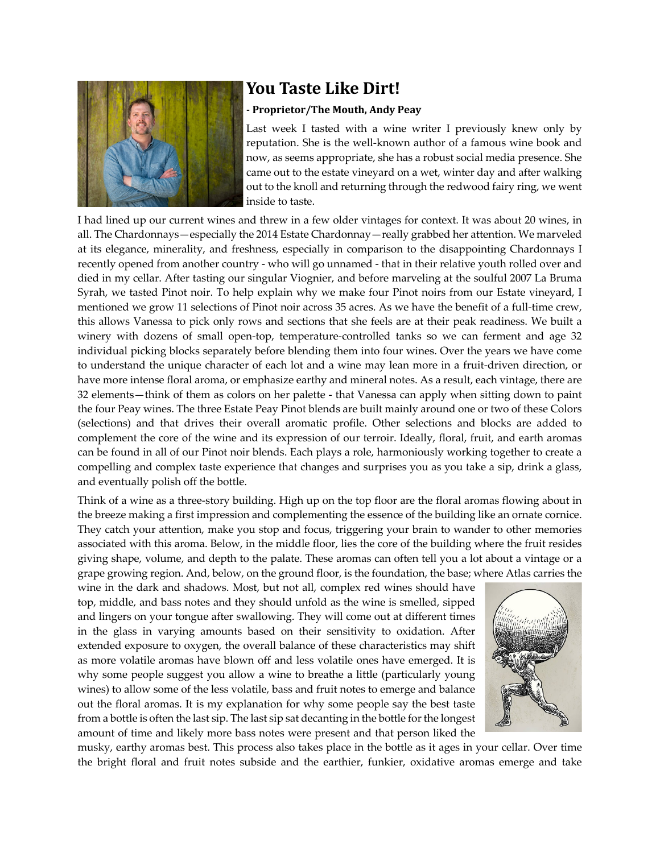

## **You Taste Like Dirt!**

## **- Proprietor/The Mouth, Andy Peay**

Last week I tasted with a wine writer I previously knew only by reputation. She is the well-known author of a famous wine book and now, as seems appropriate, she has a robust social media presence. She came out to the estate vineyard on a wet, winter day and after walking out to the knoll and returning through the redwood fairy ring, we went inside to taste.

I had lined up our current wines and threw in a few older vintages for context. It was about 20 wines, in all. The Chardonnays—especially the 2014 Estate Chardonnay—really grabbed her attention. We marveled at its elegance, minerality, and freshness, especially in comparison to the disappointing Chardonnays I recently opened from another country - who will go unnamed - that in their relative youth rolled over and died in my cellar. After tasting our singular Viognier, and before marveling at the soulful 2007 La Bruma Syrah, we tasted Pinot noir. To help explain why we make four Pinot noirs from our Estate vineyard, I mentioned we grow 11 selections of Pinot noir across 35 acres. As we have the benefit of a full-time crew, this allows Vanessa to pick only rows and sections that she feels are at their peak readiness. We built a winery with dozens of small open-top, temperature-controlled tanks so we can ferment and age 32 individual picking blocks separately before blending them into four wines. Over the years we have come to understand the unique character of each lot and a wine may lean more in a fruit-driven direction, or have more intense floral aroma, or emphasize earthy and mineral notes. As a result, each vintage, there are 32 elements—think of them as colors on her palette - that Vanessa can apply when sitting down to paint the four Peay wines. The three Estate Peay Pinot blends are built mainly around one or two of these Colors (selections) and that drives their overall aromatic profile. Other selections and blocks are added to complement the core of the wine and its expression of our terroir. Ideally, floral, fruit, and earth aromas can be found in all of our Pinot noir blends. Each plays a role, harmoniously working together to create a compelling and complex taste experience that changes and surprises you as you take a sip, drink a glass, and eventually polish off the bottle.

Think of a wine as a three-story building. High up on the top floor are the floral aromas flowing about in the breeze making a first impression and complementing the essence of the building like an ornate cornice. They catch your attention, make you stop and focus, triggering your brain to wander to other memories associated with this aroma. Below, in the middle floor, lies the core of the building where the fruit resides giving shape, volume, and depth to the palate. These aromas can often tell you a lot about a vintage or a grape growing region. And, below, on the ground floor, is the foundation, the base; where Atlas carries the

wine in the dark and shadows. Most, but not all, complex red wines should have top, middle, and bass notes and they should unfold as the wine is smelled, sipped and lingers on your tongue after swallowing. They will come out at different times in the glass in varying amounts based on their sensitivity to oxidation. After extended exposure to oxygen, the overall balance of these characteristics may shift as more volatile aromas have blown off and less volatile ones have emerged. It is why some people suggest you allow a wine to breathe a little (particularly young wines) to allow some of the less volatile, bass and fruit notes to emerge and balance out the floral aromas. It is my explanation for why some people say the best taste from a bottle is often the last sip. The last sip sat decanting in the bottle for the longest amount of time and likely more bass notes were present and that person liked the



musky, earthy aromas best. This process also takes place in the bottle as it ages in your cellar. Over time the bright floral and fruit notes subside and the earthier, funkier, oxidative aromas emerge and take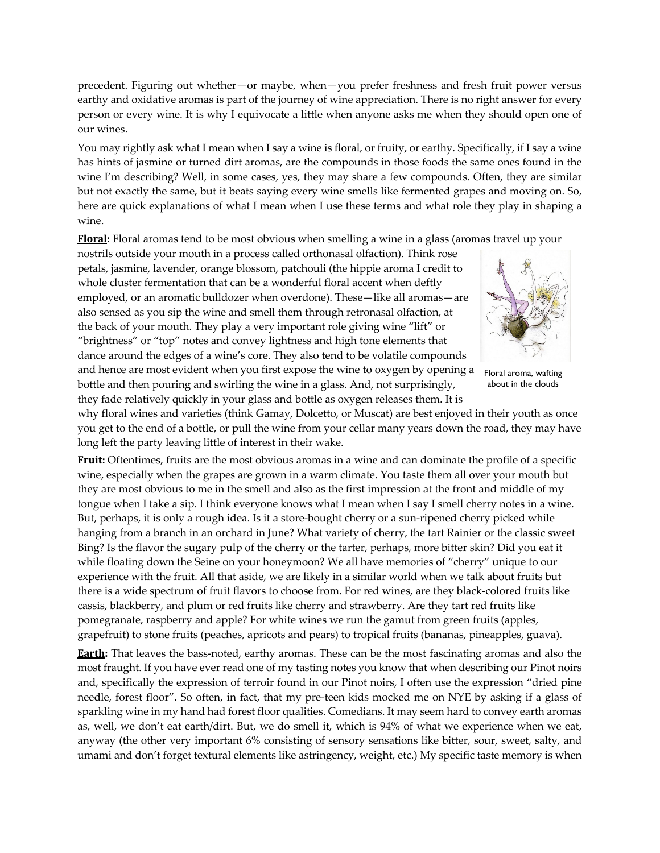precedent. Figuring out whether—or maybe, when—you prefer freshness and fresh fruit power versus earthy and oxidative aromas is part of the journey of wine appreciation. There is no right answer for every person or every wine. It is why I equivocate a little when anyone asks me when they should open one of our wines.

You may rightly ask what I mean when I say a wine is floral, or fruity, or earthy. Specifically, if I say a wine has hints of jasmine or turned dirt aromas, are the compounds in those foods the same ones found in the wine I'm describing? Well, in some cases, yes, they may share a few compounds. Often, they are similar but not exactly the same, but it beats saying every wine smells like fermented grapes and moving on. So, here are quick explanations of what I mean when I use these terms and what role they play in shaping a wine.

**Floral:** Floral aromas tend to be most obvious when smelling a wine in a glass (aromas travel up your

nostrils outside your mouth in a process called orthonasal olfaction). Think rose petals, jasmine, lavender, orange blossom, patchouli (the hippie aroma I credit to whole cluster fermentation that can be a wonderful floral accent when deftly employed, or an aromatic bulldozer when overdone). These—like all aromas—are also sensed as you sip the wine and smell them through retronasal olfaction, at the back of your mouth. They play a very important role giving wine "lift" or "brightness" or "top" notes and convey lightness and high tone elements that dance around the edges of a wine's core. They also tend to be volatile compounds and hence are most evident when you first expose the wine to oxygen by opening a bottle and then pouring and swirling the wine in a glass. And, not surprisingly, they fade relatively quickly in your glass and bottle as oxygen releases them. It is



Floral aroma, wafting about in the clouds

why floral wines and varieties (think Gamay, Dolcetto, or Muscat) are best enjoyed in their youth as once you get to the end of a bottle, or pull the wine from your cellar many years down the road, they may have long left the party leaving little of interest in their wake.

**Fruit:** Oftentimes, fruits are the most obvious aromas in a wine and can dominate the profile of a specific wine, especially when the grapes are grown in a warm climate. You taste them all over your mouth but they are most obvious to me in the smell and also as the first impression at the front and middle of my tongue when I take a sip. I think everyone knows what I mean when I say I smell cherry notes in a wine. But, perhaps, it is only a rough idea. Is it a store-bought cherry or a sun-ripened cherry picked while hanging from a branch in an orchard in June? What variety of cherry, the tart Rainier or the classic sweet Bing? Is the flavor the sugary pulp of the cherry or the tarter, perhaps, more bitter skin? Did you eat it while floating down the Seine on your honeymoon? We all have memories of "cherry" unique to our experience with the fruit. All that aside, we are likely in a similar world when we talk about fruits but there is a wide spectrum of fruit flavors to choose from. For red wines, are they black-colored fruits like cassis, blackberry, and plum or red fruits like cherry and strawberry. Are they tart red fruits like pomegranate, raspberry and apple? For white wines we run the gamut from green fruits (apples, grapefruit) to stone fruits (peaches, apricots and pears) to tropical fruits (bananas, pineapples, guava).

**Earth:** That leaves the bass-noted, earthy aromas. These can be the most fascinating aromas and also the most fraught. If you have ever read one of my tasting notes you know that when describing our Pinot noirs and, specifically the expression of terroir found in our Pinot noirs, I often use the expression "dried pine needle, forest floor". So often, in fact, that my pre-teen kids mocked me on NYE by asking if a glass of sparkling wine in my hand had forest floor qualities. Comedians. It may seem hard to convey earth aromas as, well, we don't eat earth/dirt. But, we do smell it, which is 94% of what we experience when we eat, anyway (the other very important 6% consisting of sensory sensations like bitter, sour, sweet, salty, and umami and don't forget textural elements like astringency, weight, etc.) My specific taste memory is when